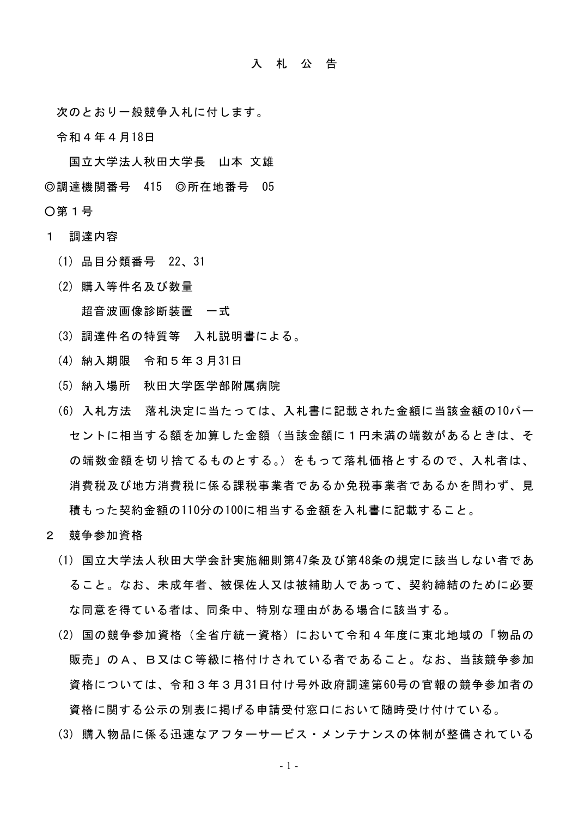## 入 札 公 告

次のとおり一般競争入札に付します。

令和4年4月18日

国立大学法人秋田大学長 山本 文雄 ◎調達機関番号 415 ◎所在地番号 05

○第1号

- 1 調達内容
	- (1) 品目分類番号 22、31
	- (2) 購入等件名及び数量

超音波画像診断装置 一式

- (3) 調達件名の特質等 入札説明書による。
- (4) 納入期限 令和5年3月31日
- (5) 納入場所 秋田大学医学部附属病院
- (6) 入札方法 落札決定に当たっては、入札書に記載された金額に当該金額の10パー セントに相当する額を加算した金額(当該金額に1円未満の端数があるときは、そ の端数金額を切り捨てるものとする。)をもって落札価格とするので、入札者は、 消費税及び地方消費税に係る課税事業者であるか免税事業者であるかを問わず、見 積もった契約金額の110分の100に相当する金額を入札書に記載すること。
- 2 競争参加資格
	- (1) 国立大学法人秋田大学会計実施細則第47条及び第48条の規定に該当しない者であ ること。なお、未成年者、被保佐人又は被補助人であって、契約締結のために必要 な同意を得ている者は、同条中、特別な理由がある場合に該当する。
	- (2) 国の競争参加資格(全省庁統一資格)において令和4年度に東北地域の「物品の 販売」のA、B又はC等級に格付けされている者であること。なお、当該競争参加 資格については、令和3年3月31日付け号外政府調達第60号の官報の競争参加者の 資格に関する公示の別表に掲げる申請受付窓口において随時受け付けている。
	- (3) 購入物品に係る迅速なアフターサービス・メンテナンスの体制が整備されている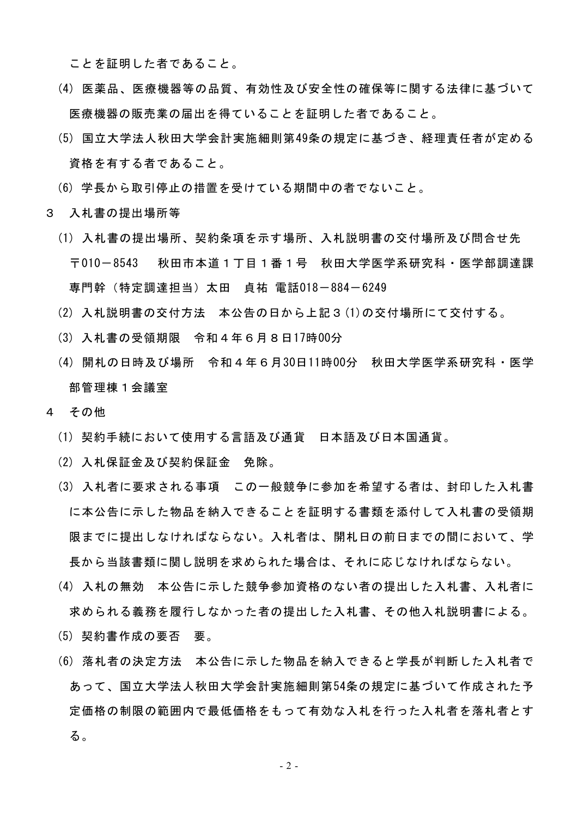ことを証明した者であること。

- (4) 医薬品、医療機器等の品質、有効性及び安全性の確保等に関する法律に基づいて 医療機器の販売業の届出を得ていることを証明した者であること。
- (5) 国立大学法人秋田大学会計実施細則第49条の規定に基づき、経理責任者が定める 資格を有する者であること。
- (6) 学長から取引停止の措置を受けている期間中の者でないこと。
- 3 入札書の提出場所等
	- (1) 入札書の提出場所、契約条項を示す場所、入札説明書の交付場所及び問合せ先 〒010-8543 秋田市本道1丁目1番1号 秋田大学医学系研究科・医学部調達課 専門幹(特定調達担当)太田 貞祐 電話018-884-6249
	- (2) 入札説明書の交付方法 本公告の日から上記3(1)の交付場所にて交付する。
	- (3) 入札書の受領期限 令和4年6月8日17時00分
	- (4) 開札の日時及び場所 令和4年6月30日11時00分 秋田大学医学系研究科・医学 部管理棟1会議室
- 4 その他
	- (1) 契約手続において使用する言語及び通貨 日本語及び日本国通貨。
	- (2) 入札保証金及び契約保証金 免除。
	- (3) 入札者に要求される事項 この一般競争に参加を希望する者は、封印した入札書 に本公告に示した物品を納入できることを証明する書類を添付して入札書の受領期 限までに提出しなければならない。入札者は、開札日の前日までの間において、学 長から当該書類に関し説明を求められた場合は、それに応じなければならない。
	- (4) 入札の無効 本公告に示した競争参加資格のない者の提出した入札書、入札者に 求められる義務を履行しなかった者の提出した入札書、その他入札説明書による。
	- (5) 契約書作成の要否 要。
	- (6) 落札者の決定方法 本公告に示した物品を納入できると学長が判断した入札者で あって、国立大学法人秋田大学会計実施細則第54条の規定に基づいて作成された予 定価格の制限の範囲内で最低価格をもって有効な入札を行った入札者を落札者とす る。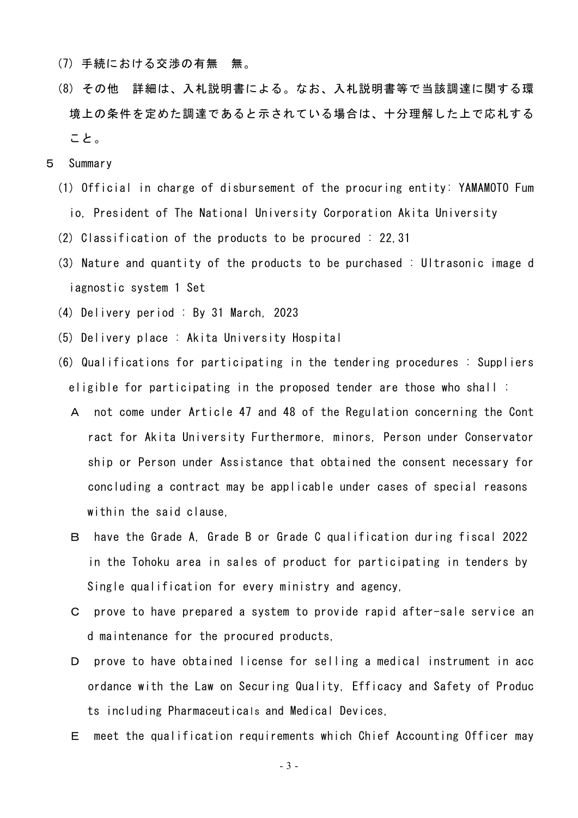- (7) 手続における交渉の有無 無。
- (8) その他 詳細は、入札説明書による。なお、入札説明書等で当該調達に関する環 境上の条件を定めた調達であると示されている場合は、十分理解した上で応札する こと。
- 5 Summary
	- (1) Official in charge of disbursement of the procuring entity: YAMAMOTO Fum io, President of The National University Corporation Akita University
	- (2) Classification of the products to be procured : 22,31
	- (3) Nature and quantity of the products to be purchased : Ultrasonic image d iagnostic system 1 Set
	- (4) Delivery period : By 31 March, 2023
	- (5) Delivery place : Akita University Hospital
	- (6) Qualifications for participating in the tendering procedures : Suppliers eligible for participating in the proposed tender are those who shall :
		- A not come under Article 47 and 48 of the Regulation concerning the Cont ract for Akita University Furthermore, minors, Person under Conservator ship or Person under Assistance that obtained the consent necessary for concluding a contract may be applicable under cases of special reasons within the said clause,
		- B have the Grade A, Grade B or Grade C qualification during fiscal 2022 in the Tohoku area in sales of product for participating in tenders by Single qualification for every ministry and agency,
		- C prove to have prepared a system to provide rapid after-sale service an d maintenance for the procured products,
		- D prove to have obtained license for selling a medical instrument in acc ordance with the Law on Securing Quality, Efficacy and Safety of Produc ts including Pharmaceuticals and Medical Devices,
		- E meet the qualification requirements which Chief Accounting Officer may